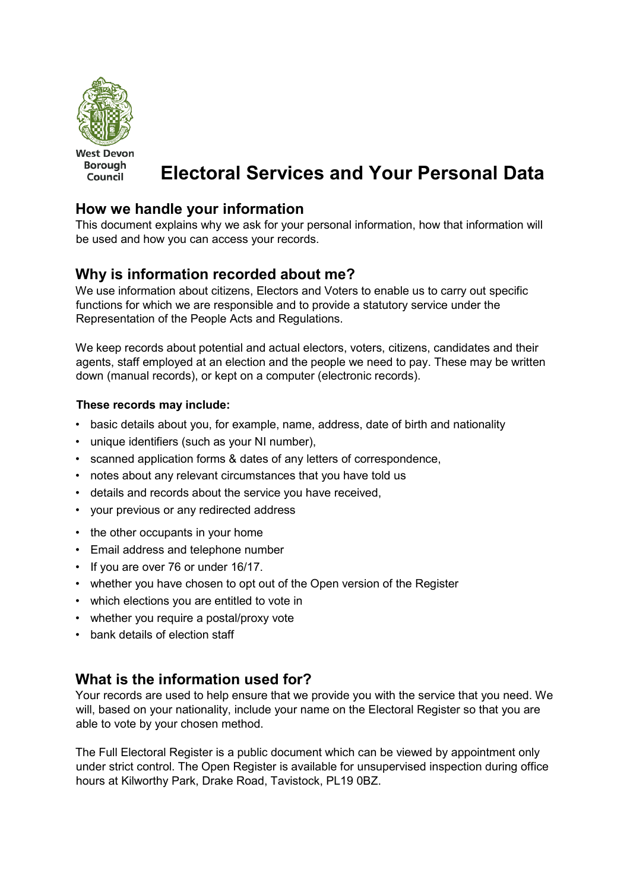

**West Devon Borough** Council

# **Electoral Services and Your Personal Data**

## **How we handle your information**

This document explains why we ask for your personal information, how that information will be used and how you can access your records.

# **Why is information recorded about me?**

We use information about citizens, Electors and Voters to enable us to carry out specific functions for which we are responsible and to provide a statutory service under the Representation of the People Acts and Regulations.

We keep records about potential and actual electors, voters, citizens, candidates and their agents, staff employed at an election and the people we need to pay. These may be written down (manual records), or kept on a computer (electronic records).

#### **These records may include:**

- basic details about you, for example, name, address, date of birth and nationality
- unique identifiers (such as your NI number),
- scanned application forms & dates of any letters of correspondence,
- notes about any relevant circumstances that you have told us
- details and records about the service you have received,
- your previous or any redirected address
- the other occupants in your home
- Email address and telephone number
- If you are over 76 or under 16/17.
- whether you have chosen to opt out of the Open version of the Register
- which elections you are entitled to vote in
- whether you require a postal/proxy vote
- bank details of election staff

### **What is the information used for?**

Your records are used to help ensure that we provide you with the service that you need. We will, based on your nationality, include your name on the Electoral Register so that you are able to vote by your chosen method.

The Full Electoral Register is a public document which can be viewed by appointment only under strict control. The Open Register is available for unsupervised inspection during office hours at Kilworthy Park, Drake Road, Tavistock, PL19 0BZ.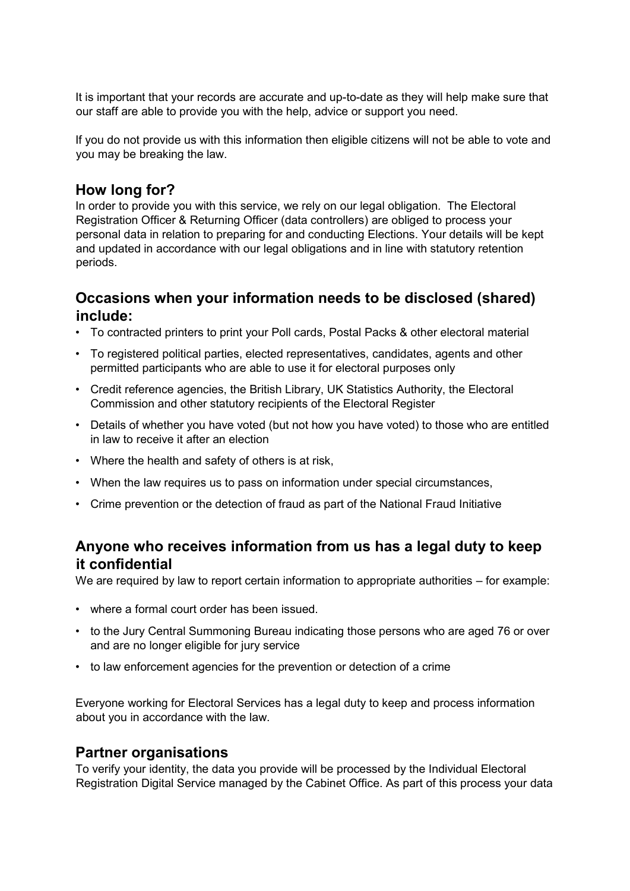It is important that your records are accurate and up-to-date as they will help make sure that our staff are able to provide you with the help, advice or support you need.

If you do not provide us with this information then eligible citizens will not be able to vote and you may be breaking the law.

#### **How long for?**

In order to provide you with this service, we rely on our legal obligation. The Electoral Registration Officer & Returning Officer (data controllers) are obliged to process your personal data in relation to preparing for and conducting Elections. Your details will be kept and updated in accordance with our legal obligations and in line with statutory retention periods.

## **Occasions when your information needs to be disclosed (shared) include:**

- To contracted printers to print your Poll cards, Postal Packs & other electoral material
- To registered political parties, elected representatives, candidates, agents and other permitted participants who are able to use it for electoral purposes only
- Credit reference agencies, the British Library, UK Statistics Authority, the Electoral Commission and other statutory recipients of the Electoral Register
- Details of whether you have voted (but not how you have voted) to those who are entitled in law to receive it after an election
- Where the health and safety of others is at risk,
- When the law requires us to pass on information under special circumstances,
- Crime prevention or the detection of fraud as part of the National Fraud Initiative

# **Anyone who receives information from us has a legal duty to keep it confidential**

We are required by law to report certain information to appropriate authorities – for example:

- where a formal court order has been issued.
- to the Jury Central Summoning Bureau indicating those persons who are aged 76 or over and are no longer eligible for jury service
- to law enforcement agencies for the prevention or detection of a crime

Everyone working for Electoral Services has a legal duty to keep and process information about you in accordance with the law.

#### **Partner organisations**

To verify your identity, the data you provide will be processed by the Individual Electoral Registration Digital Service managed by the Cabinet Office. As part of this process your data